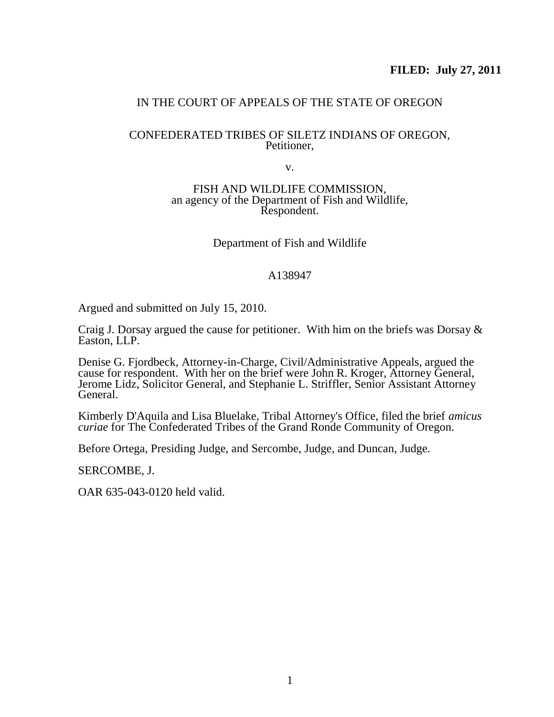# IN THE COURT OF APPEALS OF THE STATE OF OREGON

## CONFEDERATED TRIBES OF SILETZ INDIANS OF OREGON, Petitioner,

v.

### FISH AND WILDLIFE COMMISSION, an agency of the Department of Fish and Wildlife, Respondent.

Department of Fish and Wildlife

## A138947

Argued and submitted on July 15, 2010.

Craig J. Dorsay argued the cause for petitioner. With him on the briefs was Dorsay & Easton, LLP.

Denise G. Fjordbeck, Attorney-in-Charge, Civil/Administrative Appeals, argued the cause for respondent. With her on the brief were John R. Kroger, Attorney General, Jerome Lidz, Solicitor General, and Stephanie L. Striffler, Senior Assistant Attorney General.

Kimberly D'Aquila and Lisa Bluelake, Tribal Attorney's Office, filed the brief *amicus curiae* for The Confederated Tribes of the Grand Ronde Community of Oregon.

Before Ortega, Presiding Judge, and Sercombe, Judge, and Duncan, Judge.

SERCOMBE, J.

OAR 635-043-0120 held valid.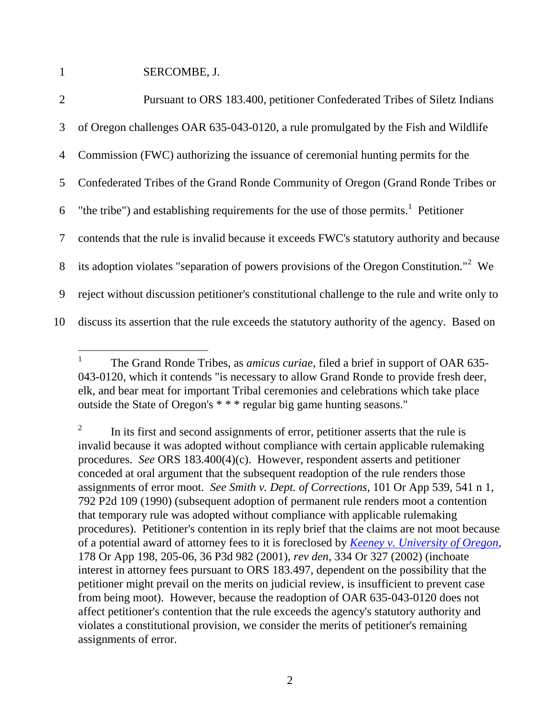l

1 SERCOMBE, J.

| $\overline{2}$ | Pursuant to ORS 183.400, petitioner Confederated Tribes of Siletz Indians                           |
|----------------|-----------------------------------------------------------------------------------------------------|
| 3              | of Oregon challenges OAR 635-043-0120, a rule promulgated by the Fish and Wildlife                  |
| 4              | Commission (FWC) authorizing the issuance of ceremonial hunting permits for the                     |
| 5              | Confederated Tribes of the Grand Ronde Community of Oregon (Grand Ronde Tribes or                   |
| 6              | "the tribe") and establishing requirements for the use of those permits. Petitioner                 |
| 7              | contends that the rule is invalid because it exceeds FWC's statutory authority and because          |
| 8              | its adoption violates "separation of powers provisions of the Oregon Constitution." <sup>2</sup> We |
| 9              | reject without discussion petitioner's constitutional challenge to the rule and write only to       |
| 10             | discuss its assertion that the rule exceeds the statutory authority of the agency. Based on         |

<sup>1</sup> The Grand Ronde Tribes, as *amicus curiae*, filed a brief in support of OAR 635- 043-0120, which it contends "is necessary to allow Grand Ronde to provide fresh deer, elk, and bear meat for important Tribal ceremonies and celebrations which take place outside the State of Oregon's \* \* \* regular big game hunting seasons."

<sup>2</sup> In its first and second assignments of error, petitioner asserts that the rule is invalid because it was adopted without compliance with certain applicable rulemaking procedures. *See* ORS 183.400(4)(c). However, respondent asserts and petitioner conceded at oral argument that the subsequent readoption of the rule renders those assignments of error moot. *See Smith v. Dept. of Corrections*, 101 Or App 539, 541 n 1, 792 P2d 109 (1990) (subsequent adoption of permanent rule renders moot a contention that temporary rule was adopted without compliance with applicable rulemaking procedures). Petitioner's contention in its reply brief that the claims are not moot because of a potential award of attorney fees to it is foreclosed by *[Keeney v. University of Oregon](http://www.publications.ojd.state.or.us/A104503.htm)*, 178 Or App 198, 205-06, 36 P3d 982 (2001), *rev den*, 334 Or 327 (2002) (inchoate interest in attorney fees pursuant to ORS 183.497, dependent on the possibility that the petitioner might prevail on the merits on judicial review, is insufficient to prevent case from being moot). However, because the readoption of OAR 635-043-0120 does not affect petitioner's contention that the rule exceeds the agency's statutory authority and violates a constitutional provision, we consider the merits of petitioner's remaining assignments of error.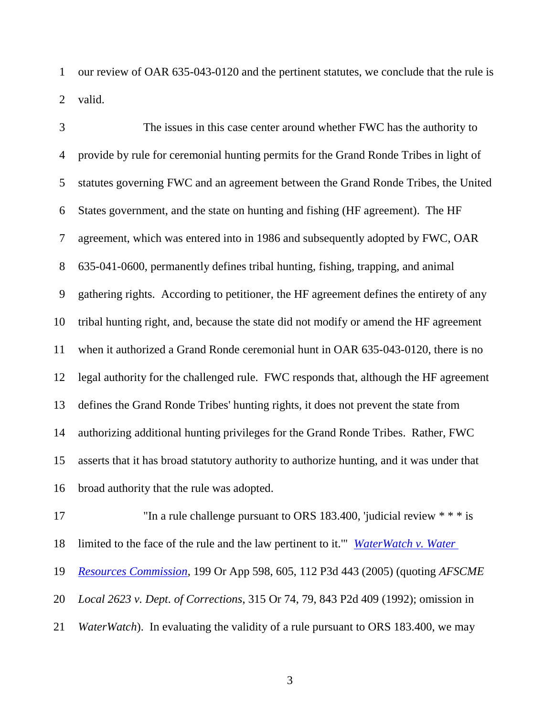our review of OAR 635-043-0120 and the pertinent statutes, we conclude that the rule is valid.

 The issues in this case center around whether FWC has the authority to provide by rule for ceremonial hunting permits for the Grand Ronde Tribes in light of statutes governing FWC and an agreement between the Grand Ronde Tribes, the United States government, and the state on hunting and fishing (HF agreement). The HF agreement, which was entered into in 1986 and subsequently adopted by FWC, OAR 635-041-0600, permanently defines tribal hunting, fishing, trapping, and animal gathering rights. According to petitioner, the HF agreement defines the entirety of any tribal hunting right, and, because the state did not modify or amend the HF agreement when it authorized a Grand Ronde ceremonial hunt in OAR 635-043-0120, there is no legal authority for the challenged rule. FWC responds that, although the HF agreement defines the Grand Ronde Tribes' hunting rights, it does not prevent the state from authorizing additional hunting privileges for the Grand Ronde Tribes. Rather, FWC asserts that it has broad statutory authority to authorize hunting, and it was under that broad authority that the rule was adopted.

17 The a rule challenge pursuant to ORS 183.400, 'judicial review  $***$  is limited to the face of the rule and the law pertinent to it.'" *[WaterWatch v. Water](http://www.publications.ojd.state.or.us/A119779.htm)  [Resources Commission](http://www.publications.ojd.state.or.us/A119779.htm)*, 199 Or App 598, 605, 112 P3d 443 (2005) (quoting *AFSCME* 

*Local 2623 v. Dept. of Corrections*, 315 Or 74, 79, 843 P2d 409 (1992); omission in

*WaterWatch*). In evaluating the validity of a rule pursuant to ORS 183.400, we may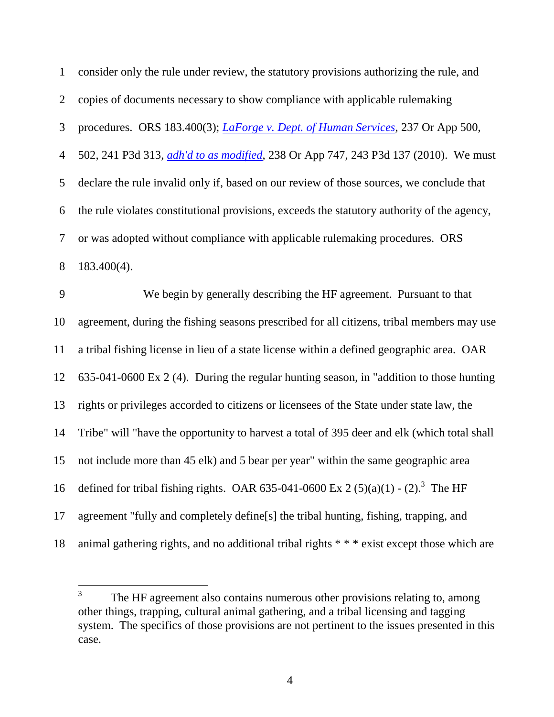consider only the rule under review, the statutory provisions authorizing the rule, and copies of documents necessary to show compliance with applicable rulemaking procedures. ORS 183.400(3); *[LaForge v. Dept. of Human Services](http://www.publications.ojd.state.or.us/A142248.htm)*, 237 Or App 500, 502, 241 P3d 313, *[adh'd to as modified](http://www.publications.ojd.state.or.us/A142248a.htm)*, 238 Or App 747, 243 P3d 137 (2010). We must declare the rule invalid only if, based on our review of those sources, we conclude that the rule violates constitutional provisions, exceeds the statutory authority of the agency, or was adopted without compliance with applicable rulemaking procedures. ORS 183.400(4).

 We begin by generally describing the HF agreement. Pursuant to that agreement, during the fishing seasons prescribed for all citizens, tribal members may use a tribal fishing license in lieu of a state license within a defined geographic area. OAR 635-041-0600 Ex 2 (4). During the regular hunting season, in "addition to those hunting rights or privileges accorded to citizens or licensees of the State under state law, the Tribe" will "have the opportunity to harvest a total of 395 deer and elk (which total shall not include more than 45 elk) and 5 bear per year" within the same geographic area 16 defined for tribal fishing rights. OAR 635-041-0600 Ex 2 (5)(a)(1) - (2).<sup>3</sup> The HF agreement "fully and completely define[s] the tribal hunting, fishing, trapping, and animal gathering rights, and no additional tribal rights \* \* \* exist except those which are

 $\overline{a}$ 

 The HF agreement also contains numerous other provisions relating to, among other things, trapping, cultural animal gathering, and a tribal licensing and tagging system. The specifics of those provisions are not pertinent to the issues presented in this case.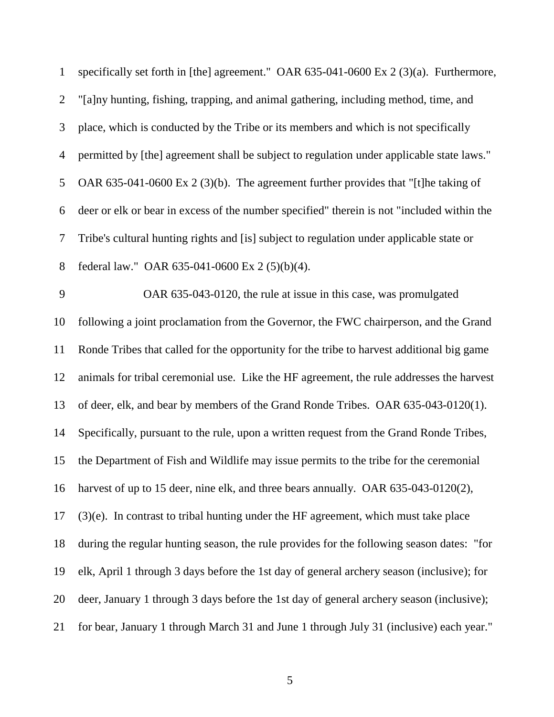specifically set forth in [the] agreement." OAR 635-041-0600 Ex 2 (3)(a). Furthermore, "[a]ny hunting, fishing, trapping, and animal gathering, including method, time, and place, which is conducted by the Tribe or its members and which is not specifically permitted by [the] agreement shall be subject to regulation under applicable state laws." OAR 635-041-0600 Ex 2 (3)(b). The agreement further provides that "[t]he taking of deer or elk or bear in excess of the number specified" therein is not "included within the Tribe's cultural hunting rights and [is] subject to regulation under applicable state or federal law." OAR 635-041-0600 Ex 2 (5)(b)(4). OAR 635-043-0120, the rule at issue in this case, was promulgated following a joint proclamation from the Governor, the FWC chairperson, and the Grand Ronde Tribes that called for the opportunity for the tribe to harvest additional big game animals for tribal ceremonial use. Like the HF agreement, the rule addresses the harvest of deer, elk, and bear by members of the Grand Ronde Tribes. OAR 635-043-0120(1). Specifically, pursuant to the rule, upon a written request from the Grand Ronde Tribes, the Department of Fish and Wildlife may issue permits to the tribe for the ceremonial harvest of up to 15 deer, nine elk, and three bears annually. OAR 635-043-0120(2), (3)(e). In contrast to tribal hunting under the HF agreement, which must take place during the regular hunting season, the rule provides for the following season dates: "for elk, April 1 through 3 days before the 1st day of general archery season (inclusive); for deer, January 1 through 3 days before the 1st day of general archery season (inclusive); for bear, January 1 through March 31 and June 1 through July 31 (inclusive) each year."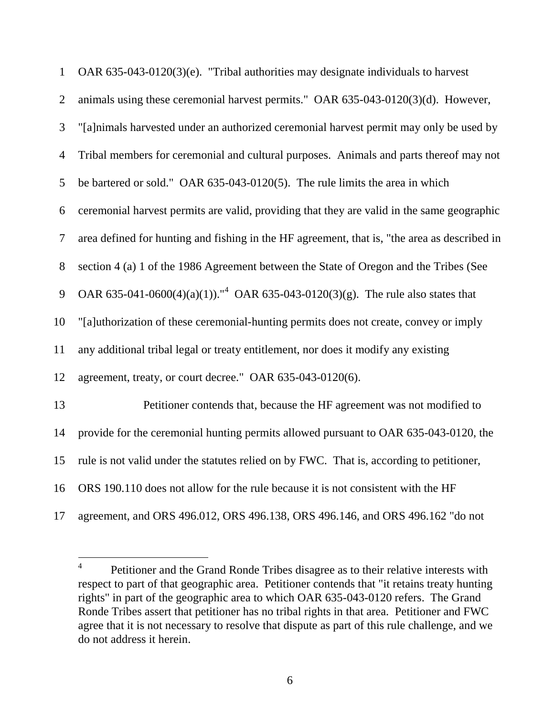| $\mathbf{1}$   | OAR $635-043-0120(3)(e)$ . "Tribal authorities may designate individuals to harvest          |
|----------------|----------------------------------------------------------------------------------------------|
| $\overline{2}$ | animals using these ceremonial harvest permits." OAR 635-043-0120(3)(d). However,            |
| 3              | "[a]nimals harvested under an authorized ceremonial harvest permit may only be used by       |
| $\overline{4}$ | Tribal members for ceremonial and cultural purposes. Animals and parts thereof may not       |
| 5              | be bartered or sold." OAR 635-043-0120(5). The rule limits the area in which                 |
| 6              | ceremonial harvest permits are valid, providing that they are valid in the same geographic   |
| 7              | area defined for hunting and fishing in the HF agreement, that is, "the area as described in |
| 8              | section 4 (a) 1 of the 1986 Agreement between the State of Oregon and the Tribes (See        |
| 9              | OAR 635-041-0600(4)(a)(1))." <sup>4</sup> OAR 635-043-0120(3)(g). The rule also states that  |
| 10             | "[a]uthorization of these ceremonial-hunting permits does not create, convey or imply        |
| 11             | any additional tribal legal or treaty entitlement, nor does it modify any existing           |
| 12             | agreement, treaty, or court decree." OAR 635-043-0120(6).                                    |
| 13             | Petitioner contends that, because the HF agreement was not modified to                       |
| 14             | provide for the ceremonial hunting permits allowed pursuant to OAR 635-043-0120, the         |
| 15             | rule is not valid under the statutes relied on by FWC. That is, according to petitioner,     |
| 16             | ORS 190.110 does not allow for the rule because it is not consistent with the HF             |
| 17             | agreement, and ORS 496.012, ORS 496.138, ORS 496.146, and ORS 496.162 "do not                |

l

 Petitioner and the Grand Ronde Tribes disagree as to their relative interests with respect to part of that geographic area. Petitioner contends that "it retains treaty hunting rights" in part of the geographic area to which OAR 635-043-0120 refers. The Grand Ronde Tribes assert that petitioner has no tribal rights in that area. Petitioner and FWC agree that it is not necessary to resolve that dispute as part of this rule challenge, and we do not address it herein.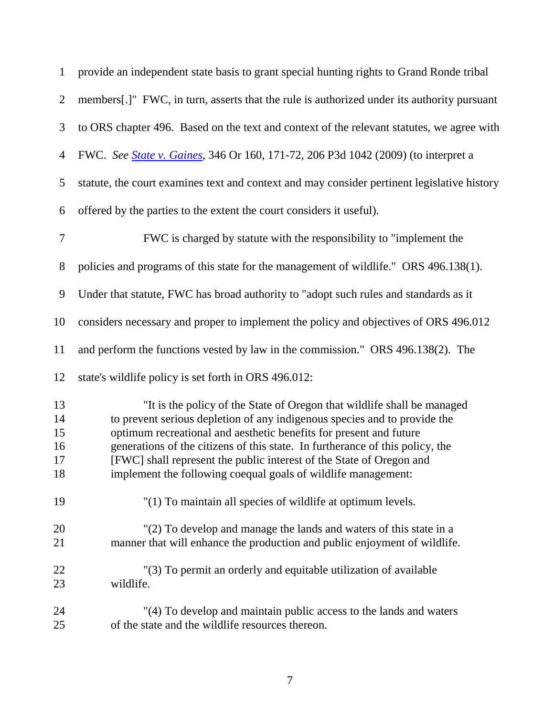| $\mathbf{1}$                     | provide an independent state basis to grant special hunting rights to Grand Ronde tribal                                                                                                                                                                                                                                                                                                                                                             |
|----------------------------------|------------------------------------------------------------------------------------------------------------------------------------------------------------------------------------------------------------------------------------------------------------------------------------------------------------------------------------------------------------------------------------------------------------------------------------------------------|
| $\overline{2}$                   | members[.]" FWC, in turn, asserts that the rule is authorized under its authority pursuant                                                                                                                                                                                                                                                                                                                                                           |
| 3                                | to ORS chapter 496. Based on the text and context of the relevant statutes, we agree with                                                                                                                                                                                                                                                                                                                                                            |
| 4                                | FWC. See State v. Gaines, 346 Or 160, 171-72, 206 P3d 1042 (2009) (to interpret a                                                                                                                                                                                                                                                                                                                                                                    |
| 5                                | statute, the court examines text and context and may consider pertinent legislative history                                                                                                                                                                                                                                                                                                                                                          |
| 6                                | offered by the parties to the extent the court considers it useful).                                                                                                                                                                                                                                                                                                                                                                                 |
| 7                                | FWC is charged by statute with the responsibility to "implement the                                                                                                                                                                                                                                                                                                                                                                                  |
| 8                                | policies and programs of this state for the management of wildlife." ORS 496.138(1).                                                                                                                                                                                                                                                                                                                                                                 |
| 9                                | Under that statute, FWC has broad authority to "adopt such rules and standards as it                                                                                                                                                                                                                                                                                                                                                                 |
| 10                               | considers necessary and proper to implement the policy and objectives of ORS 496.012                                                                                                                                                                                                                                                                                                                                                                 |
| 11                               | and perform the functions vested by law in the commission." ORS 496.138(2). The                                                                                                                                                                                                                                                                                                                                                                      |
| 12                               | state's wildlife policy is set forth in ORS 496.012:                                                                                                                                                                                                                                                                                                                                                                                                 |
| 13<br>14<br>15<br>16<br>17<br>18 | "It is the policy of the State of Oregon that wildlife shall be managed<br>to prevent serious depletion of any indigenous species and to provide the<br>optimum recreational and aesthetic benefits for present and future<br>generations of the citizens of this state. In furtherance of this policy, the<br>[FWC] shall represent the public interest of the State of Oregon and<br>implement the following coequal goals of wildlife management: |
| 19                               | "(1) To maintain all species of wildlife at optimum levels.                                                                                                                                                                                                                                                                                                                                                                                          |
| 20<br>21                         | "(2) To develop and manage the lands and waters of this state in a<br>manner that will enhance the production and public enjoyment of wildlife.                                                                                                                                                                                                                                                                                                      |
| 22<br>23                         | "(3) To permit an orderly and equitable utilization of available<br>wildlife.                                                                                                                                                                                                                                                                                                                                                                        |
| 24<br>25                         | "(4) To develop and maintain public access to the lands and waters<br>of the state and the wildlife resources thereon.                                                                                                                                                                                                                                                                                                                               |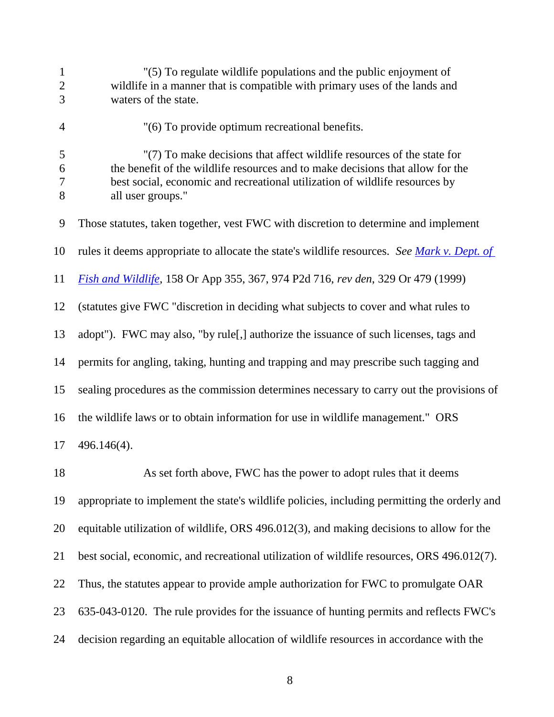| $\mathbf{1}$   | "(5) To regulate wildlife populations and the public enjoyment of                            |
|----------------|----------------------------------------------------------------------------------------------|
| $\overline{2}$ | wildlife in a manner that is compatible with primary uses of the lands and                   |
| 3              | waters of the state.                                                                         |
| $\overline{4}$ | "(6) To provide optimum recreational benefits.                                               |
| 5              | "(7) To make decisions that affect wildlife resources of the state for                       |
| 6              | the benefit of the wildlife resources and to make decisions that allow for the               |
| 7              | best social, economic and recreational utilization of wildlife resources by                  |
| 8              | all user groups."                                                                            |
| 9              | Those statutes, taken together, vest FWC with discretion to determine and implement          |
| 10             | rules it deems appropriate to allocate the state's wildlife resources. See Mark v. Dept. of  |
| 11             | Fish and Wildlife, 158 Or App 355, 367, 974 P2d 716, rev den, 329 Or 479 (1999)              |
| 12             | (statutes give FWC "discretion in deciding what subjects to cover and what rules to          |
| 13             | adopt"). FWC may also, "by rule[,] authorize the issuance of such licenses, tags and         |
| 14             | permits for angling, taking, hunting and trapping and may prescribe such tagging and         |
| 15             | sealing procedures as the commission determines necessary to carry out the provisions of     |
| 16             | the wildlife laws or to obtain information for use in wildlife management." ORS              |
| 17             | 496.146(4).                                                                                  |
| 18             | As set forth above, FWC has the power to adopt rules that it deems                           |
| 19             | appropriate to implement the state's wildlife policies, including permitting the orderly and |
| 20             | equitable utilization of wildlife, ORS 496.012(3), and making decisions to allow for the     |
| 21             | best social, economic, and recreational utilization of wildlife resources, ORS 496.012(7).   |
| 22             | Thus, the statutes appear to provide ample authorization for FWC to promulgate OAR           |
| 23             | 635-043-0120. The rule provides for the issuance of hunting permits and reflects FWC's       |
| 24             | decision regarding an equitable allocation of wildlife resources in accordance with the      |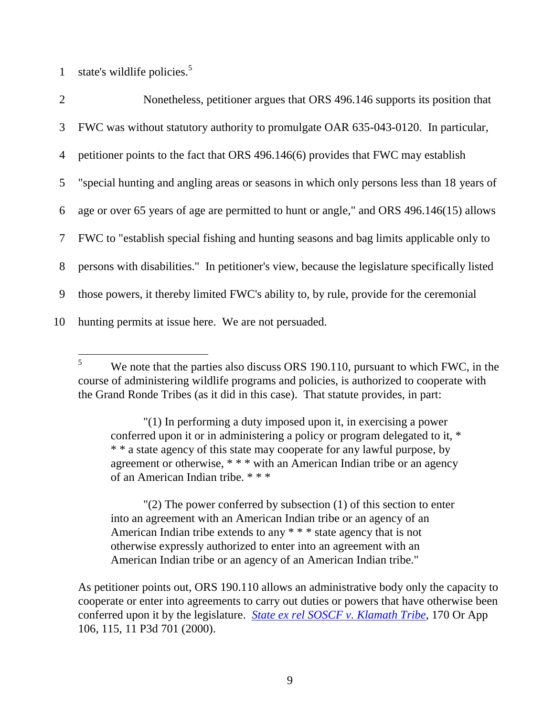state's wildlife policies.<sup>5</sup> 1

| $\overline{2}$ | Nonetheless, petitioner argues that ORS 496.146 supports its position that                    |
|----------------|-----------------------------------------------------------------------------------------------|
| 3              | FWC was without statutory authority to promulgate OAR 635-043-0120. In particular,            |
| 4              | petitioner points to the fact that ORS 496.146(6) provides that FWC may establish             |
| 5              | "special hunting and angling areas or seasons in which only persons less than 18 years of     |
| 6              | age or over 65 years of age are permitted to hunt or angle," and ORS 496.146(15) allows       |
| 7              | FWC to "establish special fishing and hunting seasons and bag limits applicable only to       |
| 8              | persons with disabilities." In petitioner's view, because the legislature specifically listed |
| 9              | those powers, it thereby limited FWC's ability to, by rule, provide for the ceremonial        |
| 10             | hunting permits at issue here. We are not persuaded.                                          |

 $5<sup>5</sup>$ We note that the parties also discuss ORS 190.110, pursuant to which FWC, in the course of administering wildlife programs and policies, is authorized to cooperate with the Grand Ronde Tribes (as it did in this case). That statute provides, in part:

"(1) In performing a duty imposed upon it, in exercising a power conferred upon it or in administering a policy or program delegated to it, \* \* \* a state agency of this state may cooperate for any lawful purpose, by agreement or otherwise, \* \* \* with an American Indian tribe or an agency of an American Indian tribe. \* \* \*

"(2) The power conferred by subsection (1) of this section to enter into an agreement with an American Indian tribe or an agency of an American Indian tribe extends to any \* \* \* state agency that is not otherwise expressly authorized to enter into an agreement with an American Indian tribe or an agency of an American Indian tribe."

As petitioner points out, ORS 190.110 allows an administrative body only the capacity to cooperate or enter into agreements to carry out duties or powers that have otherwise been conferred upon it by the legislature. *[State ex rel SOSCF v. Klamath Tribe](http://www.publications.ojd.state.or.us/A104784.htm)*, 170 Or App 106, 115, 11 P3d 701 (2000).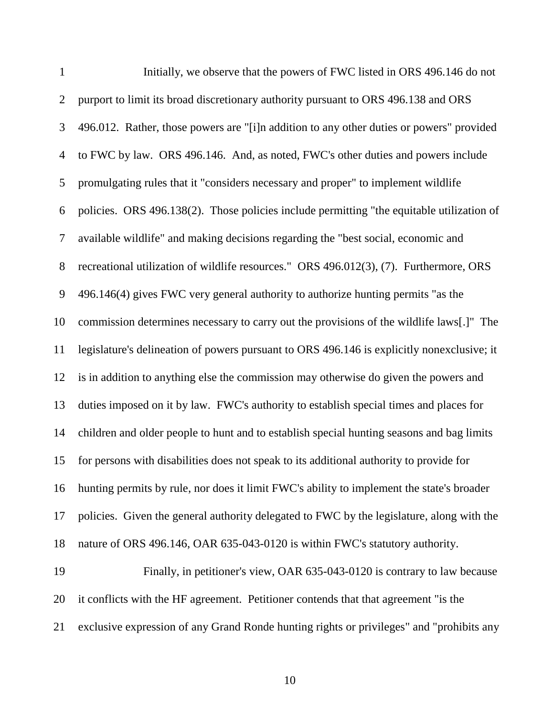| $\mathbf{1}$   | Initially, we observe that the powers of FWC listed in ORS 496.146 do not                  |
|----------------|--------------------------------------------------------------------------------------------|
| $\overline{2}$ | purport to limit its broad discretionary authority pursuant to ORS 496.138 and ORS         |
| 3              | 496.012. Rather, those powers are "[i]n addition to any other duties or powers" provided   |
| $\overline{4}$ | to FWC by law. ORS 496.146. And, as noted, FWC's other duties and powers include           |
| 5              | promulgating rules that it "considers necessary and proper" to implement wildlife          |
| 6              | policies. ORS 496.138(2). Those policies include permitting "the equitable utilization of  |
| 7              | available wildlife" and making decisions regarding the "best social, economic and          |
| $8\,$          | recreational utilization of wildlife resources." ORS 496.012(3), (7). Furthermore, ORS     |
| 9              | 496.146(4) gives FWC very general authority to authorize hunting permits "as the           |
| 10             | commission determines necessary to carry out the provisions of the wildlife laws[.]" The   |
| 11             | legislature's delineation of powers pursuant to ORS 496.146 is explicitly nonexclusive; it |
| 12             | is in addition to anything else the commission may otherwise do given the powers and       |
| 13             | duties imposed on it by law. FWC's authority to establish special times and places for     |
| 14             | children and older people to hunt and to establish special hunting seasons and bag limits  |
| 15             | for persons with disabilities does not speak to its additional authority to provide for    |
| 16             | hunting permits by rule, nor does it limit FWC's ability to implement the state's broader  |
| 17             | policies. Given the general authority delegated to FWC by the legislature, along with the  |
| 18             | nature of ORS 496.146, OAR 635-043-0120 is within FWC's statutory authority.               |
| 19             | Finally, in petitioner's view, OAR 635-043-0120 is contrary to law because                 |
| 20             | it conflicts with the HF agreement. Petitioner contends that that agreement "is the        |

exclusive expression of any Grand Ronde hunting rights or privileges" and "prohibits any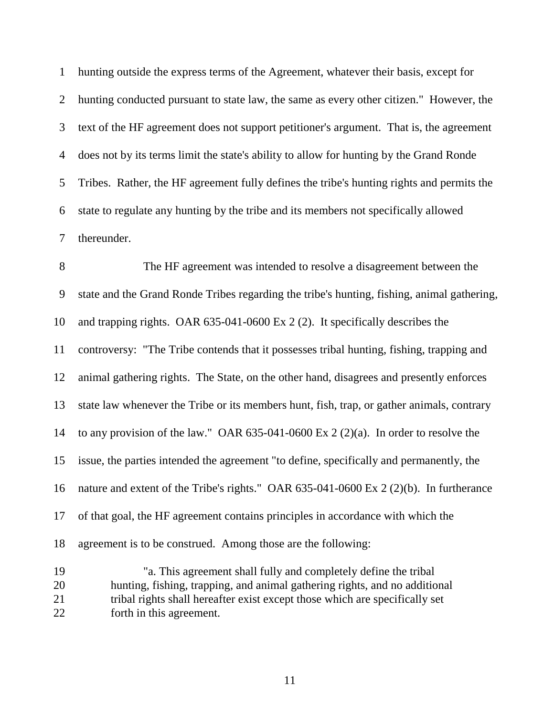hunting outside the express terms of the Agreement, whatever their basis, except for hunting conducted pursuant to state law, the same as every other citizen." However, the text of the HF agreement does not support petitioner's argument. That is, the agreement does not by its terms limit the state's ability to allow for hunting by the Grand Ronde Tribes. Rather, the HF agreement fully defines the tribe's hunting rights and permits the state to regulate any hunting by the tribe and its members not specifically allowed thereunder.

 The HF agreement was intended to resolve a disagreement between the state and the Grand Ronde Tribes regarding the tribe's hunting, fishing, animal gathering, and trapping rights. OAR 635-041-0600 Ex 2 (2). It specifically describes the controversy: "The Tribe contends that it possesses tribal hunting, fishing, trapping and animal gathering rights. The State, on the other hand, disagrees and presently enforces state law whenever the Tribe or its members hunt, fish, trap, or gather animals, contrary to any provision of the law." OAR 635-041-0600 Ex 2 (2)(a). In order to resolve the issue, the parties intended the agreement "to define, specifically and permanently, the nature and extent of the Tribe's rights." OAR 635-041-0600 Ex 2 (2)(b). In furtherance of that goal, the HF agreement contains principles in accordance with which the agreement is to be construed. Among those are the following: "a. This agreement shall fully and completely define the tribal

 hunting, fishing, trapping, and animal gathering rights, and no additional tribal rights shall hereafter exist except those which are specifically set forth in this agreement.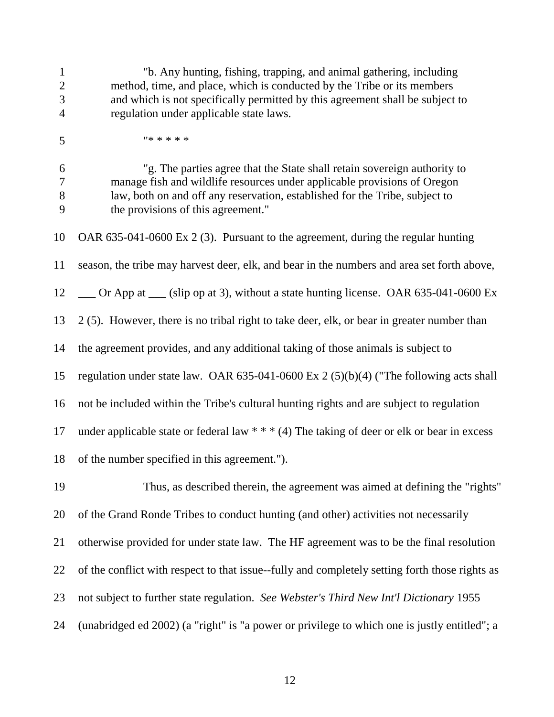| $\mathbf{1}$<br>$\overline{2}$<br>$\mathfrak{Z}$<br>4 | "b. Any hunting, fishing, trapping, and animal gathering, including<br>method, time, and place, which is conducted by the Tribe or its members<br>and which is not specifically permitted by this agreement shall be subject to<br>regulation under applicable state laws. |
|-------------------------------------------------------|----------------------------------------------------------------------------------------------------------------------------------------------------------------------------------------------------------------------------------------------------------------------------|
| 5                                                     | *****                                                                                                                                                                                                                                                                      |
| 6<br>$\tau$<br>$8\,$<br>9                             | "g. The parties agree that the State shall retain sovereign authority to<br>manage fish and wildlife resources under applicable provisions of Oregon<br>law, both on and off any reservation, established for the Tribe, subject to<br>the provisions of this agreement."  |
| 10                                                    | OAR 635-041-0600 Ex 2 (3). Pursuant to the agreement, during the regular hunting                                                                                                                                                                                           |
| 11                                                    | season, the tribe may harvest deer, elk, and bear in the numbers and area set forth above,                                                                                                                                                                                 |
| 12                                                    | __ Or App at __ (slip op at 3), without a state hunting license. OAR 635-041-0600 Ex                                                                                                                                                                                       |
| 13                                                    | 2(5). However, there is no tribal right to take deer, elk, or bear in greater number than                                                                                                                                                                                  |
| 14                                                    | the agreement provides, and any additional taking of those animals is subject to                                                                                                                                                                                           |
| 15                                                    | regulation under state law. OAR $635-041-0600$ Ex $2(5)(b)(4)$ ("The following acts shall                                                                                                                                                                                  |
| 16                                                    | not be included within the Tribe's cultural hunting rights and are subject to regulation                                                                                                                                                                                   |
| 17                                                    | under applicable state or federal law $* * * (4)$ The taking of deer or elk or bear in excess                                                                                                                                                                              |
| 18                                                    | of the number specified in this agreement.").                                                                                                                                                                                                                              |
| 19                                                    | Thus, as described therein, the agreement was aimed at defining the "rights"                                                                                                                                                                                               |
| 20                                                    | of the Grand Ronde Tribes to conduct hunting (and other) activities not necessarily                                                                                                                                                                                        |
| 21                                                    | otherwise provided for under state law. The HF agreement was to be the final resolution                                                                                                                                                                                    |
| 22                                                    | of the conflict with respect to that issue-fully and completely setting forth those rights as                                                                                                                                                                              |
| 23                                                    | not subject to further state regulation. See Webster's Third New Int'l Dictionary 1955                                                                                                                                                                                     |
| 24                                                    | (unabridged ed 2002) (a "right" is "a power or privilege to which one is justly entitled"; a                                                                                                                                                                               |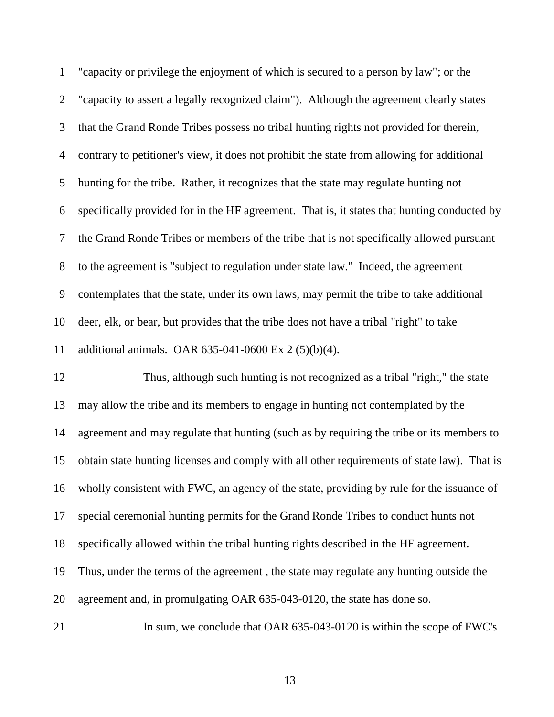"capacity or privilege the enjoyment of which is secured to a person by law"; or the "capacity to assert a legally recognized claim"). Although the agreement clearly states that the Grand Ronde Tribes possess no tribal hunting rights not provided for therein, contrary to petitioner's view, it does not prohibit the state from allowing for additional hunting for the tribe. Rather, it recognizes that the state may regulate hunting not specifically provided for in the HF agreement. That is, it states that hunting conducted by the Grand Ronde Tribes or members of the tribe that is not specifically allowed pursuant to the agreement is "subject to regulation under state law." Indeed, the agreement contemplates that the state, under its own laws, may permit the tribe to take additional deer, elk, or bear, but provides that the tribe does not have a tribal "right" to take additional animals. OAR 635-041-0600 Ex 2 (5)(b)(4). Thus, although such hunting is not recognized as a tribal "right," the state may allow the tribe and its members to engage in hunting not contemplated by the

obtain state hunting licenses and comply with all other requirements of state law). That is

agreement and may regulate that hunting (such as by requiring the tribe or its members to

wholly consistent with FWC, an agency of the state, providing by rule for the issuance of

special ceremonial hunting permits for the Grand Ronde Tribes to conduct hunts not

specifically allowed within the tribal hunting rights described in the HF agreement.

Thus, under the terms of the agreement , the state may regulate any hunting outside the

agreement and, in promulgating OAR 635-043-0120, the state has done so.

21 In sum, we conclude that OAR 635-043-0120 is within the scope of FWC's